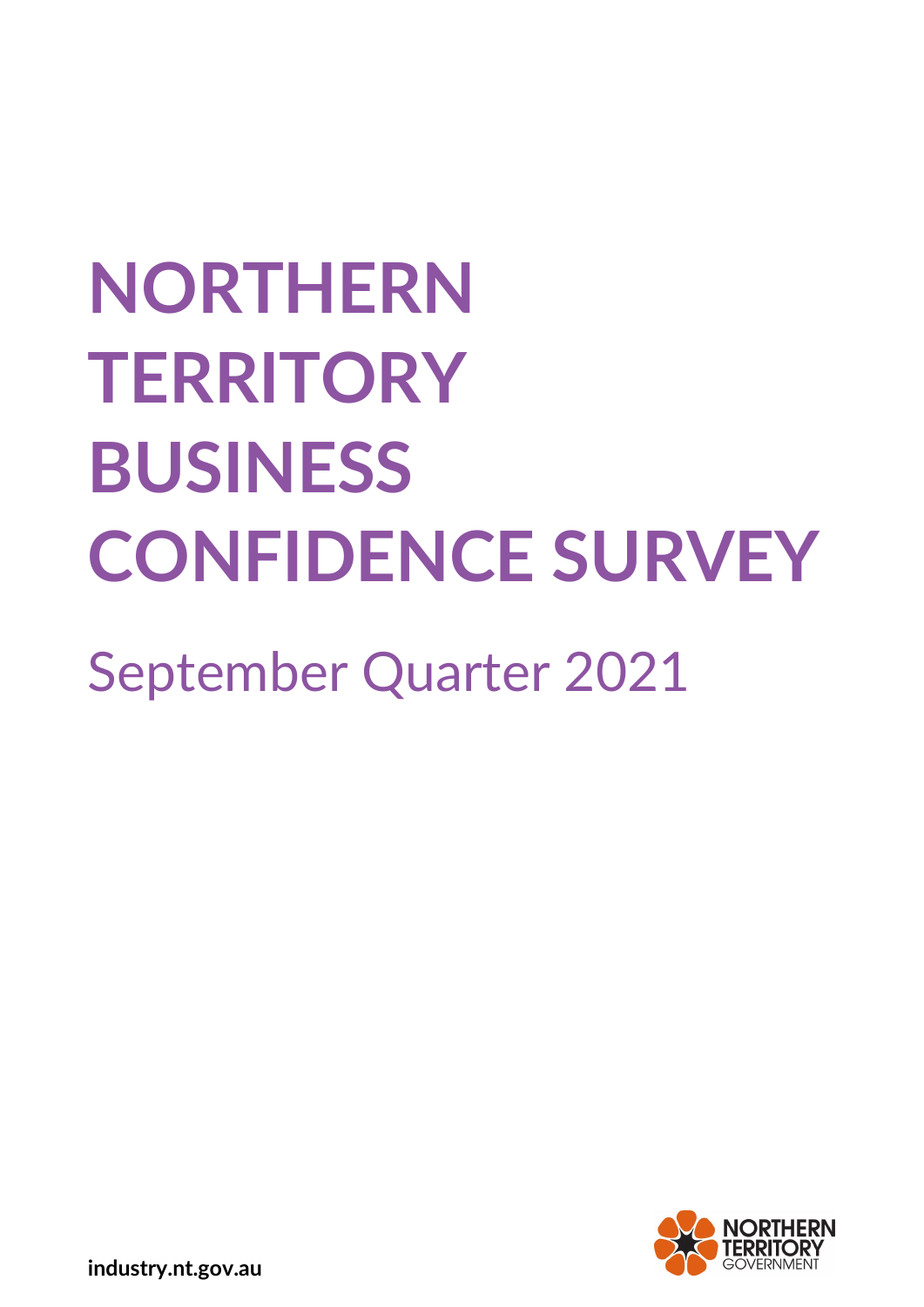# **NORTHERN TERRITORY BUSINESS CONFIDENCE SURVEY**

September Quarter 2021



**industry.nt.gov.au**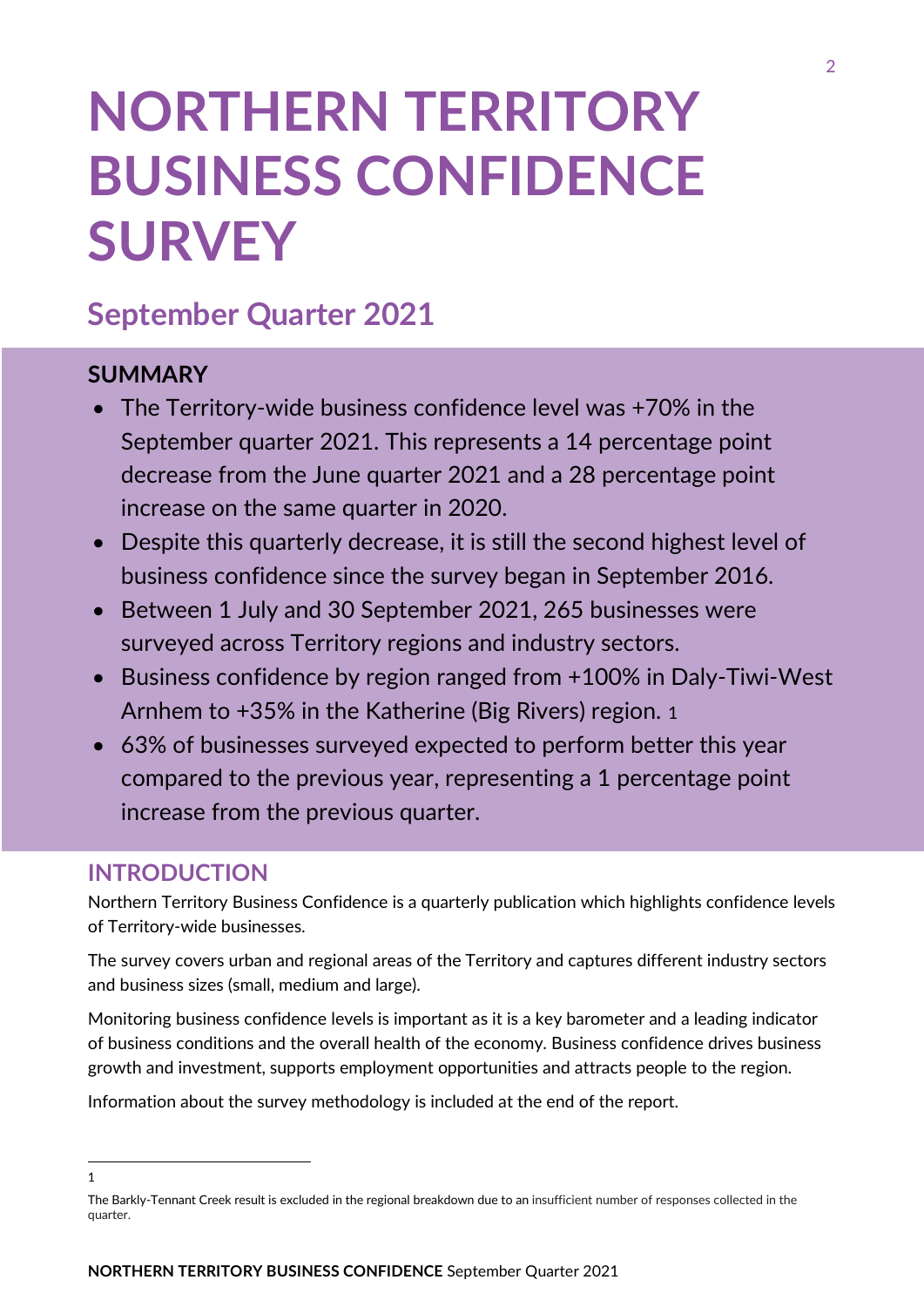# **NORTHERN TERRITORY BUSINESS CONFIDENCE SURVEY**

# **September Quarter 2021**

# **SUMMARY**

- The Territory-wide business confidence level was +70% in the September quarter 2021. This represents a 14 percentage point decrease from the June quarter 2021 and a 28 percentage point increase on the same quarter in 2020.
- Despite this quarterly decrease, it is still the second highest level of business confidence since the survey began in September 2016.
- Between 1 July and 30 September 2021, 265 businesses were surveyed across Territory regions and industry sectors.
- Business confidence by region ranged from +100% in Daly-Tiwi-West Arnhem to +35% in the Katherine (Big Rivers) region. [1](#page-1-0)
- 63% of businesses surveyed expected to perform better this year compared to the previous year, representing a 1 percentage point increase from the previous quarter.

# **INTRODUCTION**

Northern Territory Business Confidence is a quarterly publication which highlights confidence levels of Territory-wide businesses.

The survey covers urban and regional areas of the Territory and captures different industry sectors and business sizes (small, medium and large).

Monitoring business confidence levels is important as it is a key barometer and a leading indicator of business conditions and the overall health of the economy. Business confidence drives business growth and investment, supports employment opportunities and attracts people to the region.

Information about the survey methodology is included at the end of the report.

<span id="page-1-0"></span> <sup>1</sup>

The Barkly-Tennant Creek result is excluded in the regional breakdown due to an insufficient number of responses collected in the quarter.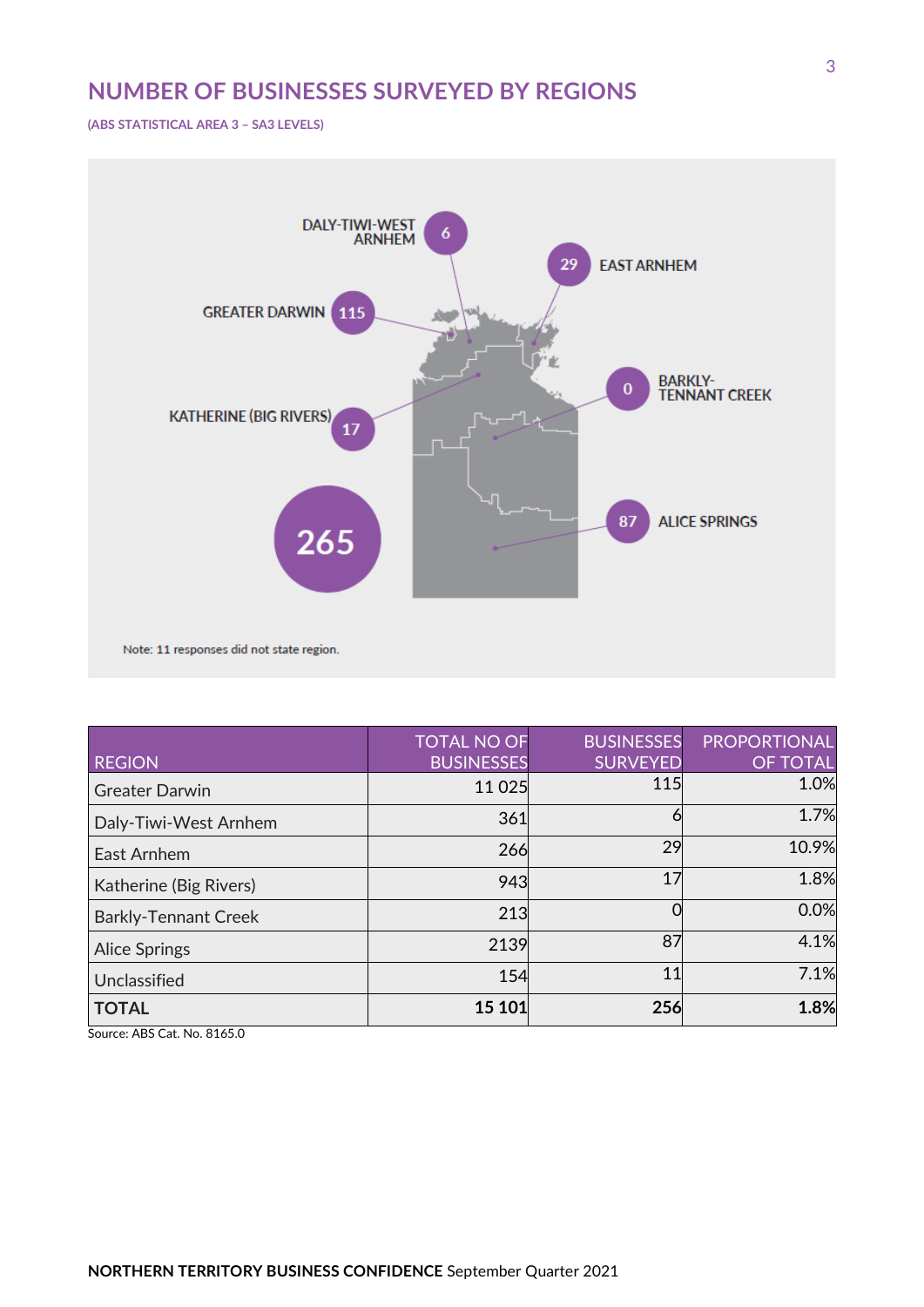# **NUMBER OF BUSINESSES SURVEYED BY REGIONS**

**(ABS STATISTICAL AREA 3 – SA3 LEVELS)**



| <b>REGION</b>               | <b>TOTAL NO OF</b><br><b>BUSINESSES</b> | <b>BUSINESSES</b><br><b>SURVEYED</b> | <b>PROPORTIONAL</b><br><b>OF TOTAL</b> |
|-----------------------------|-----------------------------------------|--------------------------------------|----------------------------------------|
| <b>Greater Darwin</b>       | 11 0 25                                 | <b>115</b>                           | 1.0%                                   |
| Daly-Tiwi-West Arnhem       | 361                                     | 6                                    | 1.7%                                   |
| East Arnhem                 | 266                                     | 29                                   | 10.9%                                  |
| Katherine (Big Rivers)      | 943                                     | 17                                   | 1.8%                                   |
| <b>Barkly-Tennant Creek</b> | 213                                     |                                      | 0.0%                                   |
| <b>Alice Springs</b>        | 2139                                    | 87                                   | 4.1%                                   |
| Unclassified                | 154                                     | 11                                   | 7.1%                                   |
| <b>TOTAL</b>                | 15 101                                  | 256                                  | 1.8%                                   |

Source: ABS Cat. No. 8165.0

3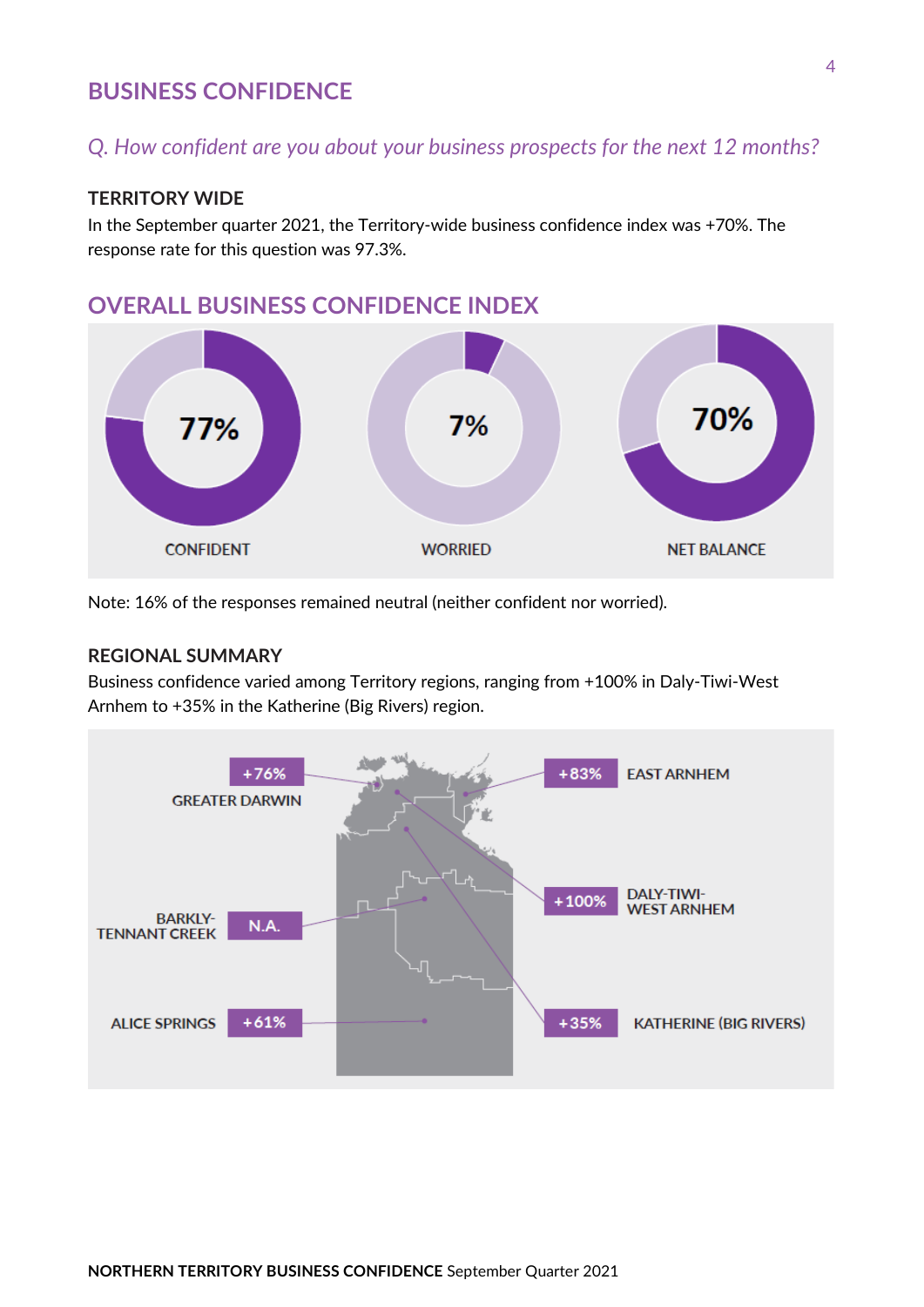### **BUSINESS CONFIDENCE**

# *Q. How confident are you about your business prospects for the next 12 months?*

#### **TERRITORY WIDE**

In the September quarter 2021, the Territory-wide business confidence index was +70%. The response rate for this question was 97.3%.

## **OVERALL BUSINESS CONFIDENCE INDEX**



Note: 16% of the responses remained neutral (neither confident nor worried).

#### **REGIONAL SUMMARY**

Business confidence varied among Territory regions, ranging from +100% in Daly-Tiwi-West Arnhem to +35% in the Katherine (Big Rivers) region.

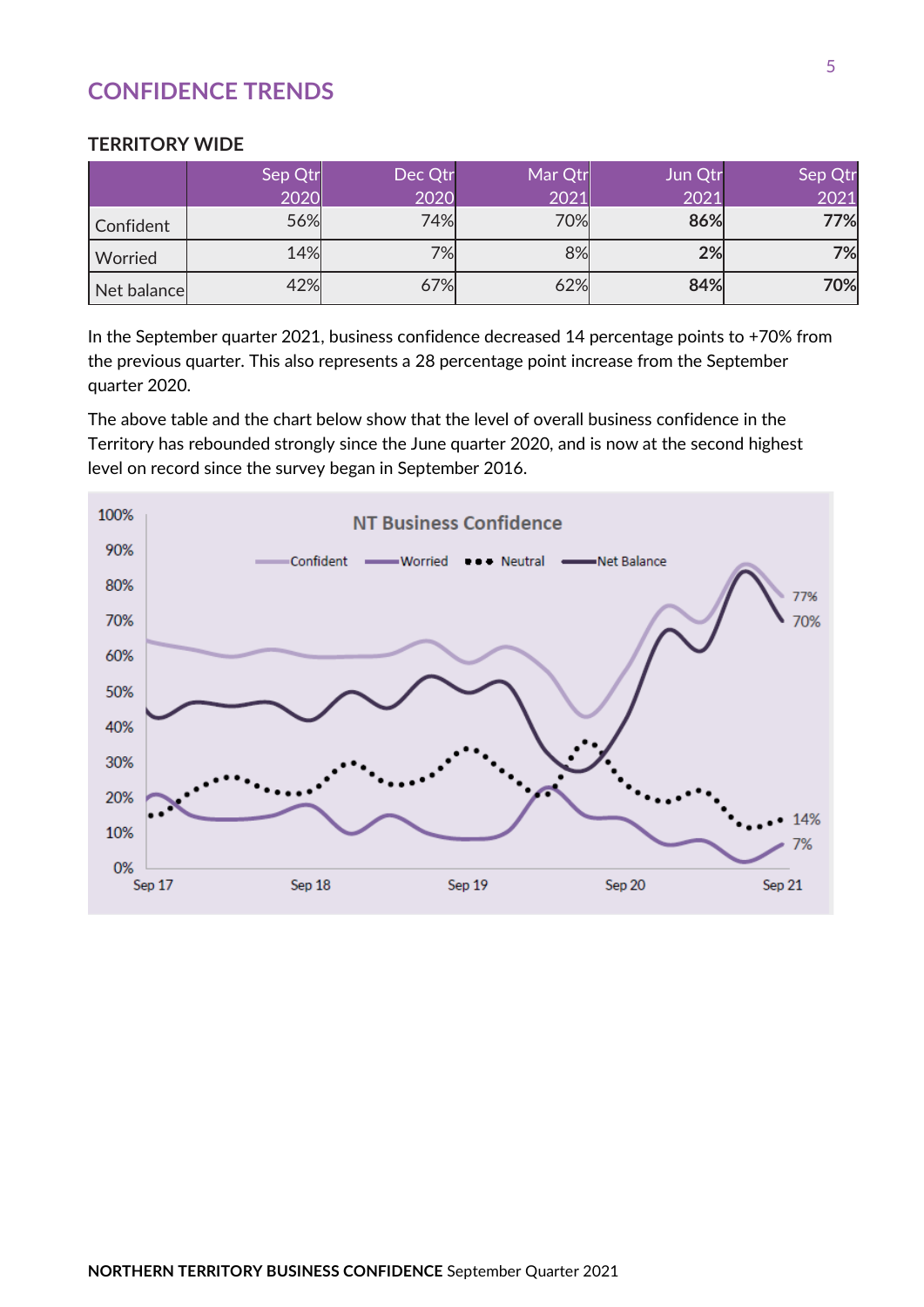# **CONFIDENCE TRENDS**

#### **TERRITORY WIDE**

|              | Sep Qtr | Dec Qtr | Mar Qtr | Jun Qtr | Sep Qtr             |
|--------------|---------|---------|---------|---------|---------------------|
|              |         |         |         |         | $\overline{O2}$<br> |
| Confident    | 56%     | 74%     | '0%     | 86%     | 7%l                 |
| Worried      | 14%     | 7%      |         | 2%      | 7%                  |
| Net balancel |         | 7%      |         | 84%     | 70%                 |

In the September quarter 2021, business confidence decreased 14 percentage points to +70% from the previous quarter. This also represents a 28 percentage point increase from the September quarter 2020.

The above table and the chart below show that the level of overall business confidence in the Territory has rebounded strongly since the June quarter 2020, and is now at the second highest level on record since the survey began in September 2016.

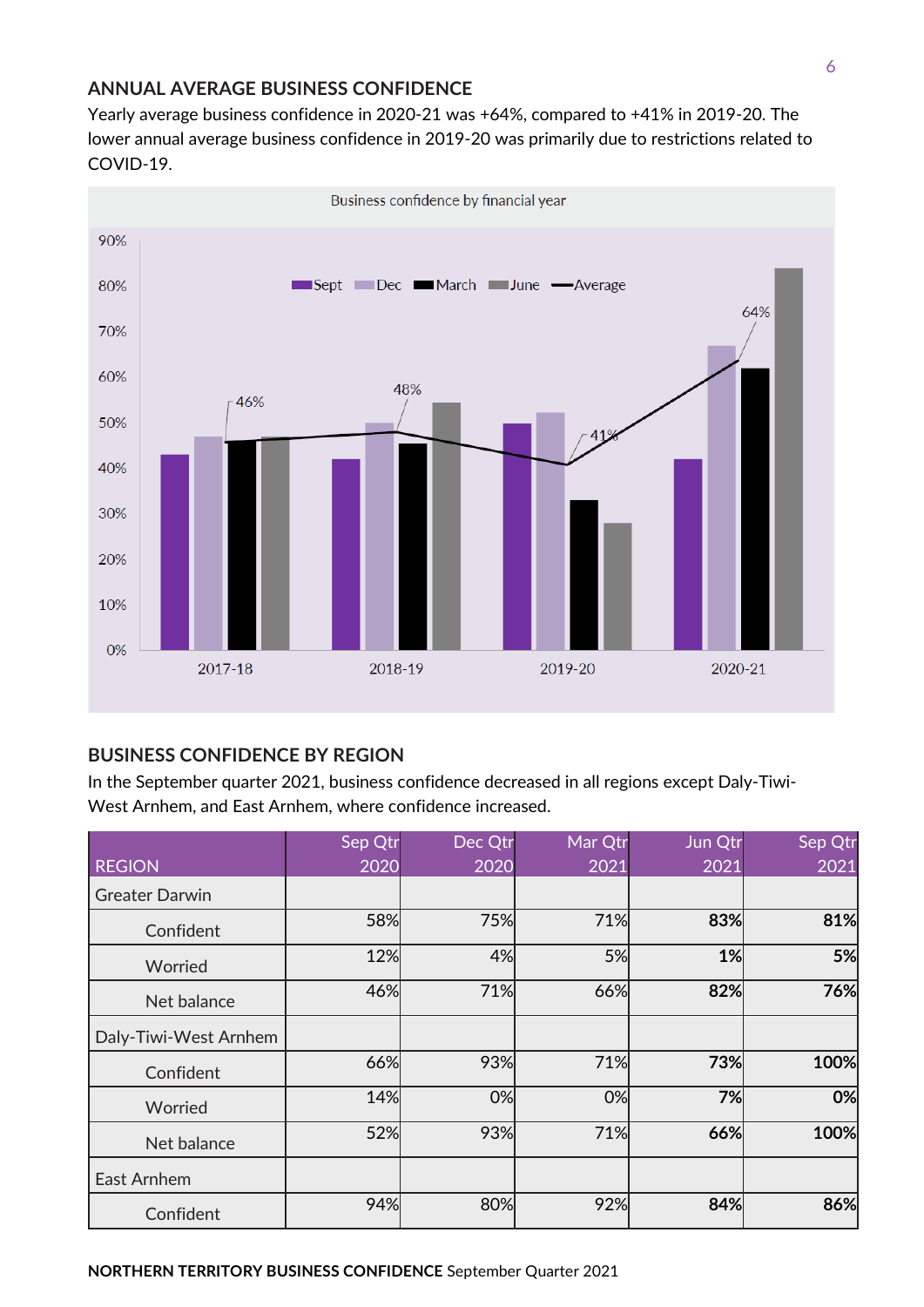#### **ANNUAL AVERAGE BUSINESS CONFIDENCE**

Yearly average business confidence in 2020-21 was +64%, compared to +41% in 2019-20. The lower annual average business confidence in 2019-20 was primarily due to restrictions related to COVID-19.



**BUSINESS CONFIDENCE BY REGION**

In the September quarter 2021, business confidence decreased in all regions except Daly-Tiwi-West Arnhem, and East Arnhem, where confidence increased.

|                       | Sep Qtr | Dec Qtr | Mar Qtr | Jun Qtr | Sep Qtr |
|-----------------------|---------|---------|---------|---------|---------|
| <b>REGION</b>         | 2020    | 2020    | 2021    | 2021    | 2021    |
| <b>Greater Darwin</b> |         |         |         |         |         |
| Confident             | 58%     | 75%     | 71%     | 83%     | 81%     |
| Worried               | 12%     | 4%      | 5%      | 1%      | 5%      |
| Net balance           | 46%     | 71%     | 66%     | 82%     | 76%     |
| Daly-Tiwi-West Arnhem |         |         |         |         |         |
| Confident             | 66%     | 93%     | 71%     | 73%     | 100%    |
| Worried               | 14%     | 0%      | 0%      | 7%      | 0%      |
| Net balance           | 52%     | 93%     | 71%     | 66%     | 100%    |
| East Arnhem           |         |         |         |         |         |
| Confident             | 94%     | 80%     | 92%     | 84%     | 86%     |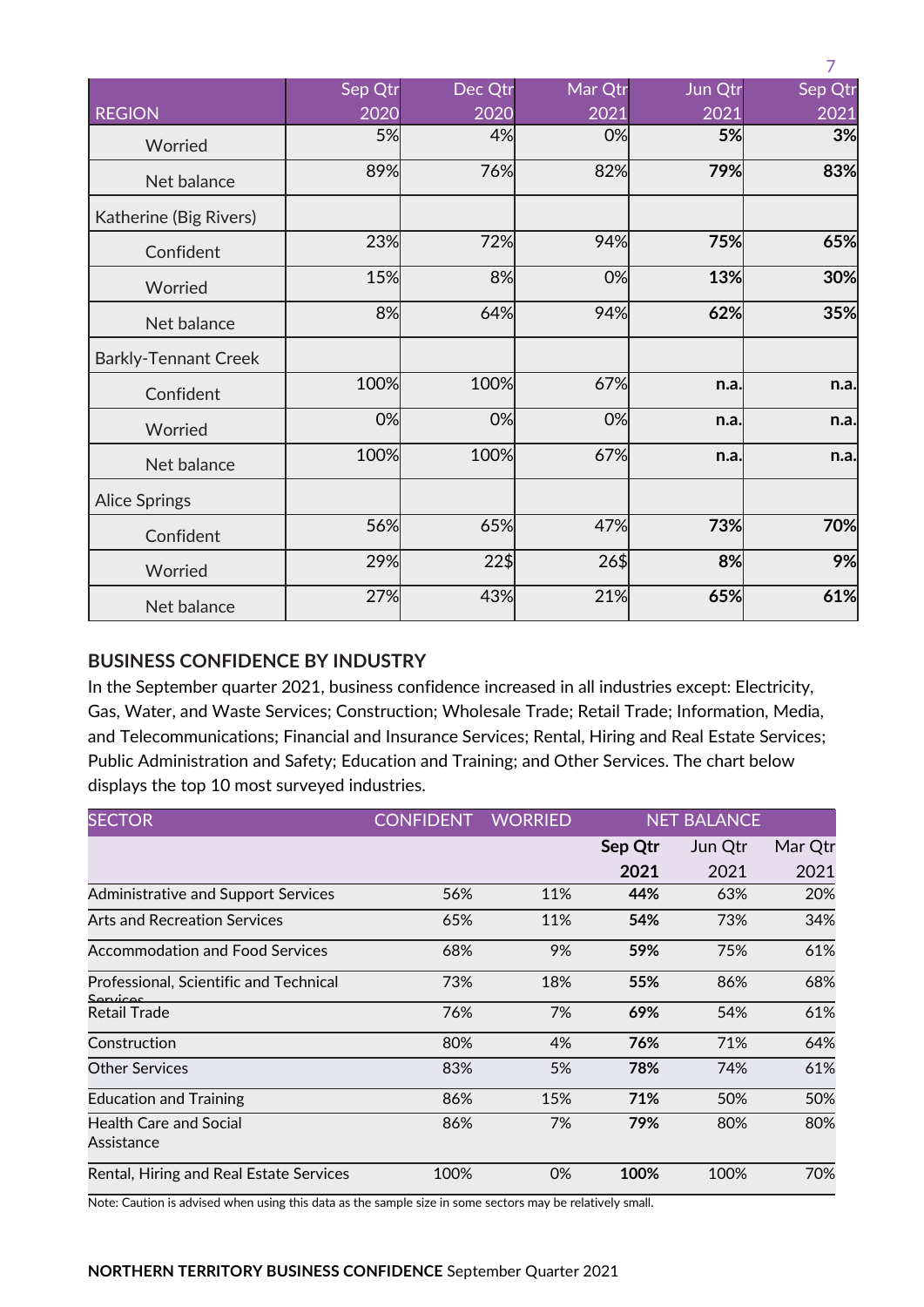|                             |         |         |         |         | 7       |
|-----------------------------|---------|---------|---------|---------|---------|
|                             | Sep Qtr | Dec Qtr | Mar Qtr | Jun Qtr | Sep Qtr |
| <b>REGION</b>               | 2020    | 2020    | 2021    | 2021    | 2021    |
| Worried                     | 5%      | 4%      | 0%      | 5%      | 3%      |
| Net balance                 | 89%     | 76%     | 82%     | 79%     | 83%     |
| Katherine (Big Rivers)      |         |         |         |         |         |
| Confident                   | 23%     | 72%     | 94%     | 75%     | 65%     |
| Worried                     | 15%     | 8%      | 0%      | 13%     | 30%     |
| Net balance                 | 8%      | 64%     | 94%     | 62%     | 35%     |
| <b>Barkly-Tennant Creek</b> |         |         |         |         |         |
| Confident                   | 100%    | 100%    | 67%     | n.a.    | n.a.    |
| Worried                     | 0%      | 0%      | 0%      | n.a.    | n.a.    |
| Net balance                 | 100%    | 100%    | 67%     | n.a.    | n.a.    |
| <b>Alice Springs</b>        |         |         |         |         |         |
| Confident                   | 56%     | 65%     | 47%     | 73%     | 70%     |
| Worried                     | 29%     | $22\%$  | 26\$    | 8%      | 9%      |
| Net balance                 | 27%     | 43%     | 21%     | 65%     | 61%     |

#### **BUSINESS CONFIDENCE BY INDUSTRY**

In the September quarter 2021, business confidence increased in all industries except: Electricity, Gas, Water, and Waste Services; Construction; Wholesale Trade; Retail Trade; Information, Media, and Telecommunications; Financial and Insurance Services; Rental, Hiring and Real Estate Services; Public Administration and Safety; Education and Training; and Other Services. The chart below displays the top 10 most surveyed industries.

| <b>SECTOR</b>                                      | <b>CONFIDENT</b> | <b>WORRIED</b> | <b>NET BALANCE</b> |         |         |
|----------------------------------------------------|------------------|----------------|--------------------|---------|---------|
|                                                    |                  |                | Sep Qtr            | Jun Qtr | Mar Qtr |
|                                                    |                  |                | 2021               | 2021    | 2021    |
| <b>Administrative and Support Services</b>         | 56%              | 11%            | 44%                | 63%     | 20%     |
| <b>Arts and Recreation Services</b>                | 65%              | 11%            | 54%                | 73%     | 34%     |
| <b>Accommodation and Food Services</b>             | 68%              | 9%             | 59%                | 75%     | 61%     |
| Professional, Scientific and Technical<br>Sanjicac | 73%              | 18%            | 55%                | 86%     | 68%     |
| Retail Trade                                       | 76%              | 7%             | 69%                | 54%     | 61%     |
| Construction                                       | 80%              | 4%             | 76%                | 71%     | 64%     |
| <b>Other Services</b>                              | 83%              | 5%             | 78%                | 74%     | 61%     |
| <b>Education and Training</b>                      | 86%              | 15%            | 71%                | 50%     | 50%     |
| <b>Health Care and Social</b><br>Assistance        | 86%              | 7%             | 79%                | 80%     | 80%     |
| Rental, Hiring and Real Estate Services            | 100%             | 0%             | 100%               | 100%    | 70%     |

Note: Caution is advised when using this data as the sample size in some sectors may be relatively small.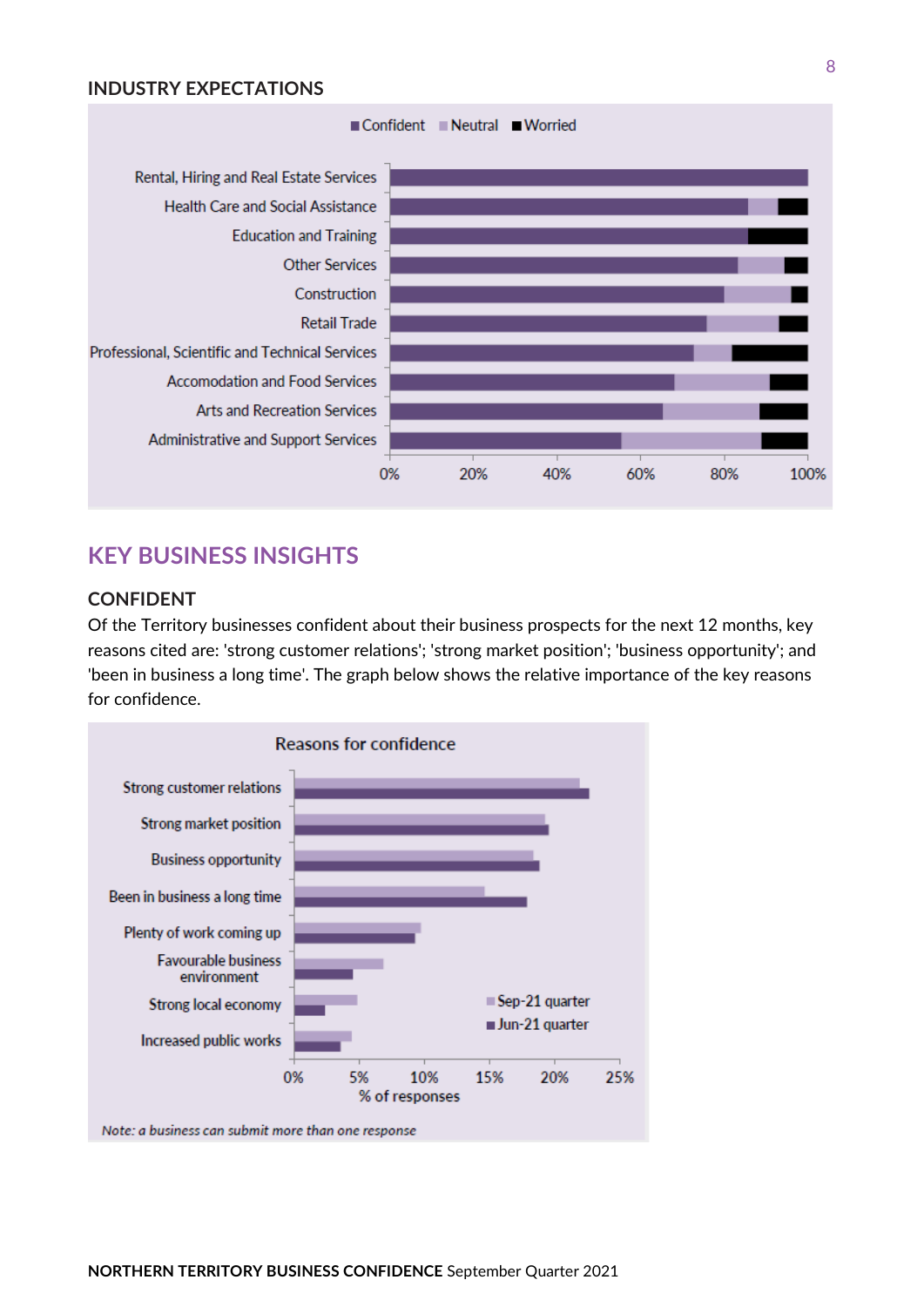#### **INDUSTRY EXPECTATIONS**



# **KEY BUSINESS INSIGHTS**

#### **CONFIDENT**

Of the Territory businesses confident about their business prospects for the next 12 months, key reasons cited are: 'strong customer relations'; 'strong market position'; 'business opportunity'; and 'been in business a long time'. The graph below shows the relative importance of the key reasons for confidence.

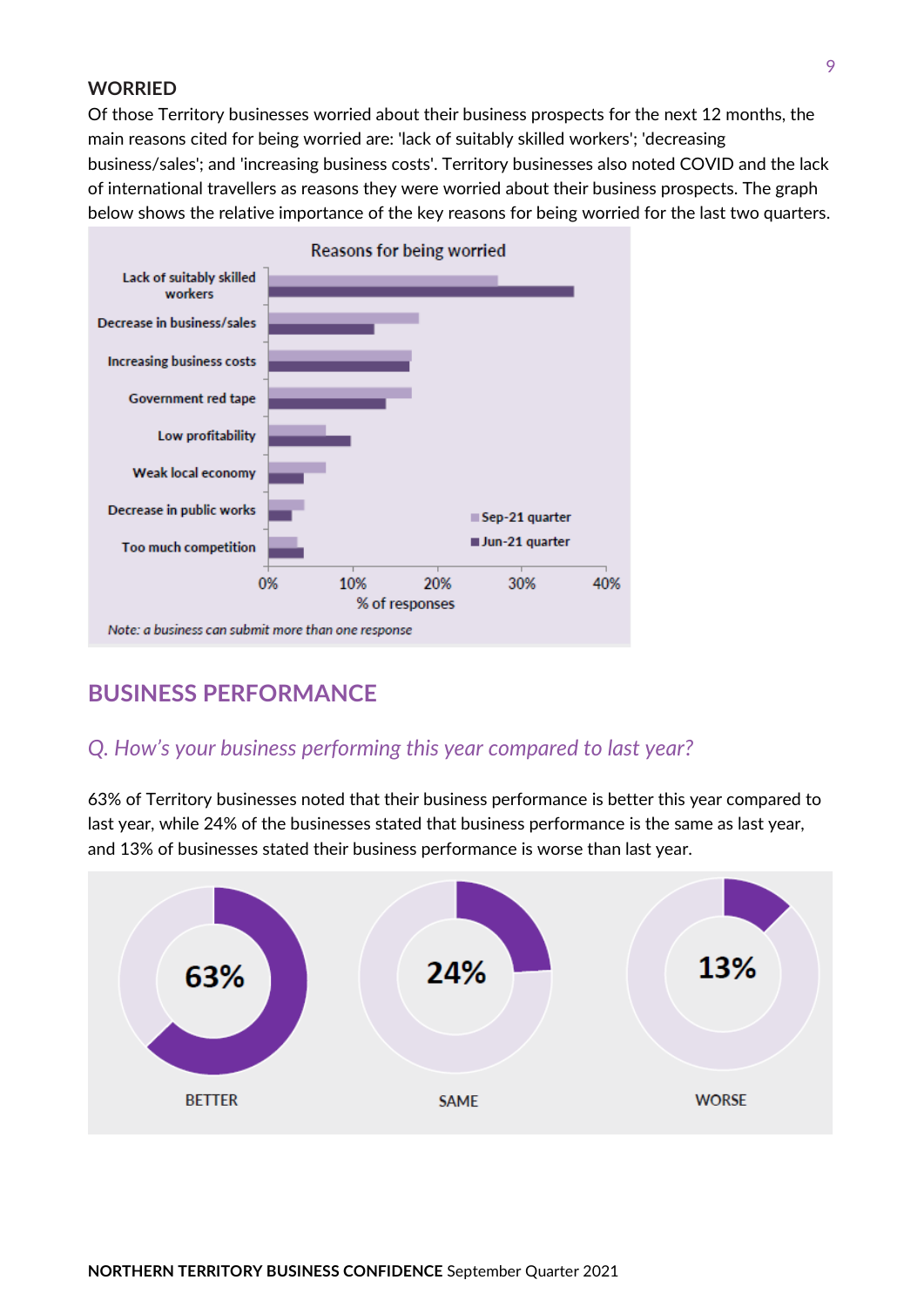#### **WORRIED**

Of those Territory businesses worried about their business prospects for the next 12 months, the main reasons cited for being worried are: 'lack of suitably skilled workers'; 'decreasing business/sales'; and 'increasing business costs'. Territory businesses also noted COVID and the lack of international travellers as reasons they were worried about their business prospects. The graph below shows the relative importance of the key reasons for being worried for the last two quarters.



# **BUSINESS PERFORMANCE**

#### *Q. How's your business performing this year compared to last year?*

63% of Territory businesses noted that their business performance is better this year compared to last year, while 24% of the businesses stated that business performance is the same as last year, and 13% of businesses stated their business performance is worse than last year.

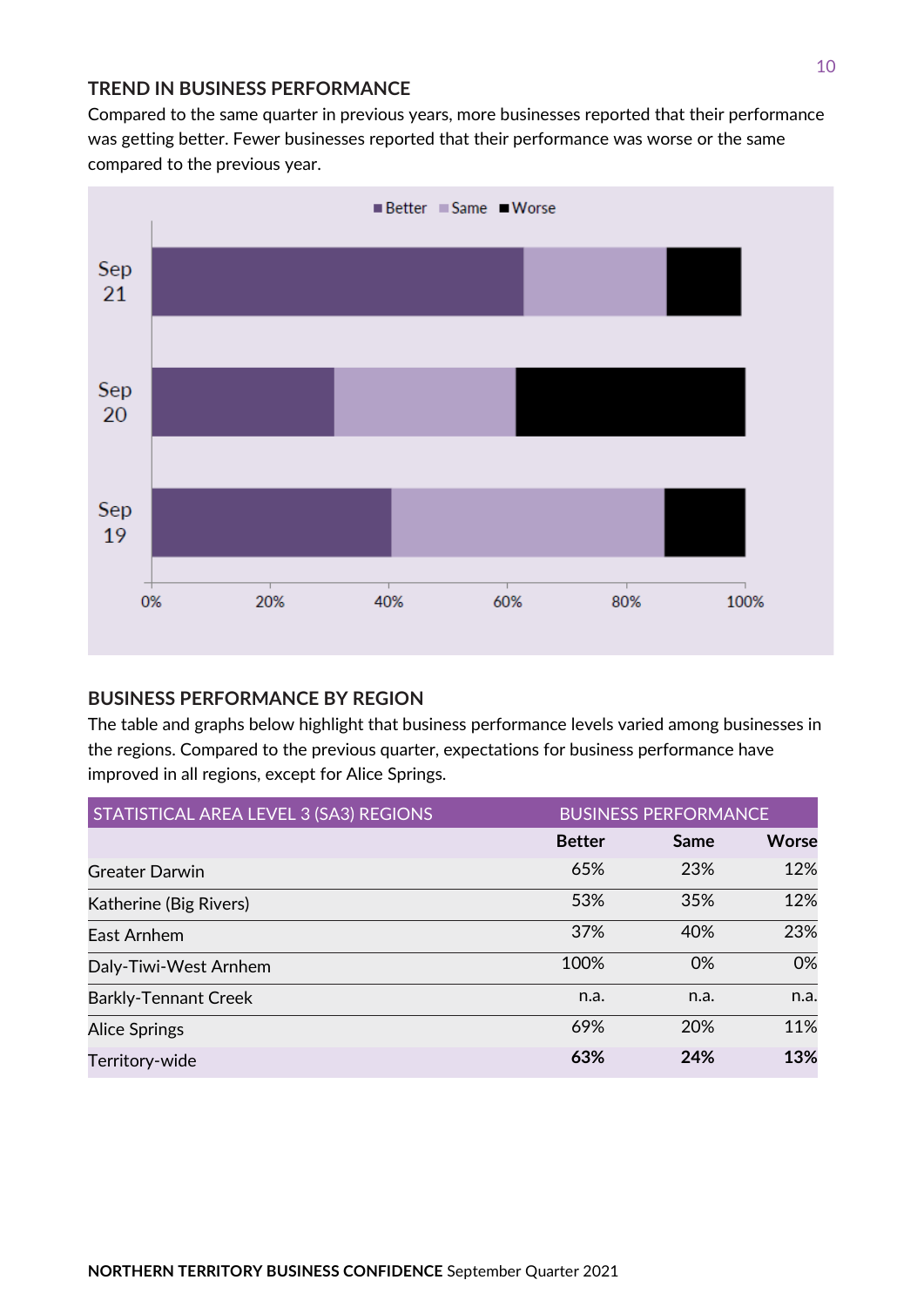#### **TREND IN BUSINESS PERFORMANCE**

Compared to the same quarter in previous years, more businesses reported that their performance was getting better. Fewer businesses reported that their performance was worse or the same compared to the previous year.



#### **BUSINESS PERFORMANCE BY REGION**

The table and graphs below highlight that business performance levels varied among businesses in the regions. Compared to the previous quarter, expectations for business performance have improved in all regions, except for Alice Springs.

| STATISTICAL AREA LEVEL 3 (SA3) REGIONS | <b>BUSINESS PERFORMANCE</b> |      |              |
|----------------------------------------|-----------------------------|------|--------------|
|                                        | <b>Better</b>               | Same | <b>Worse</b> |
| <b>Greater Darwin</b>                  | 65%                         | 23%  | 12%          |
| Katherine (Big Rivers)                 | 53%                         | 35%  | 12%          |
| East Arnhem                            | 37%                         | 40%  | 23%          |
| Daly-Tiwi-West Arnhem                  | 100%                        | 0%   | 0%           |
| <b>Barkly-Tennant Creek</b>            | n.a.                        | n.a. | n.a.         |
| <b>Alice Springs</b>                   | 69%                         | 20%  | 11%          |
| Territory-wide                         | 63%                         | 24%  | 13%          |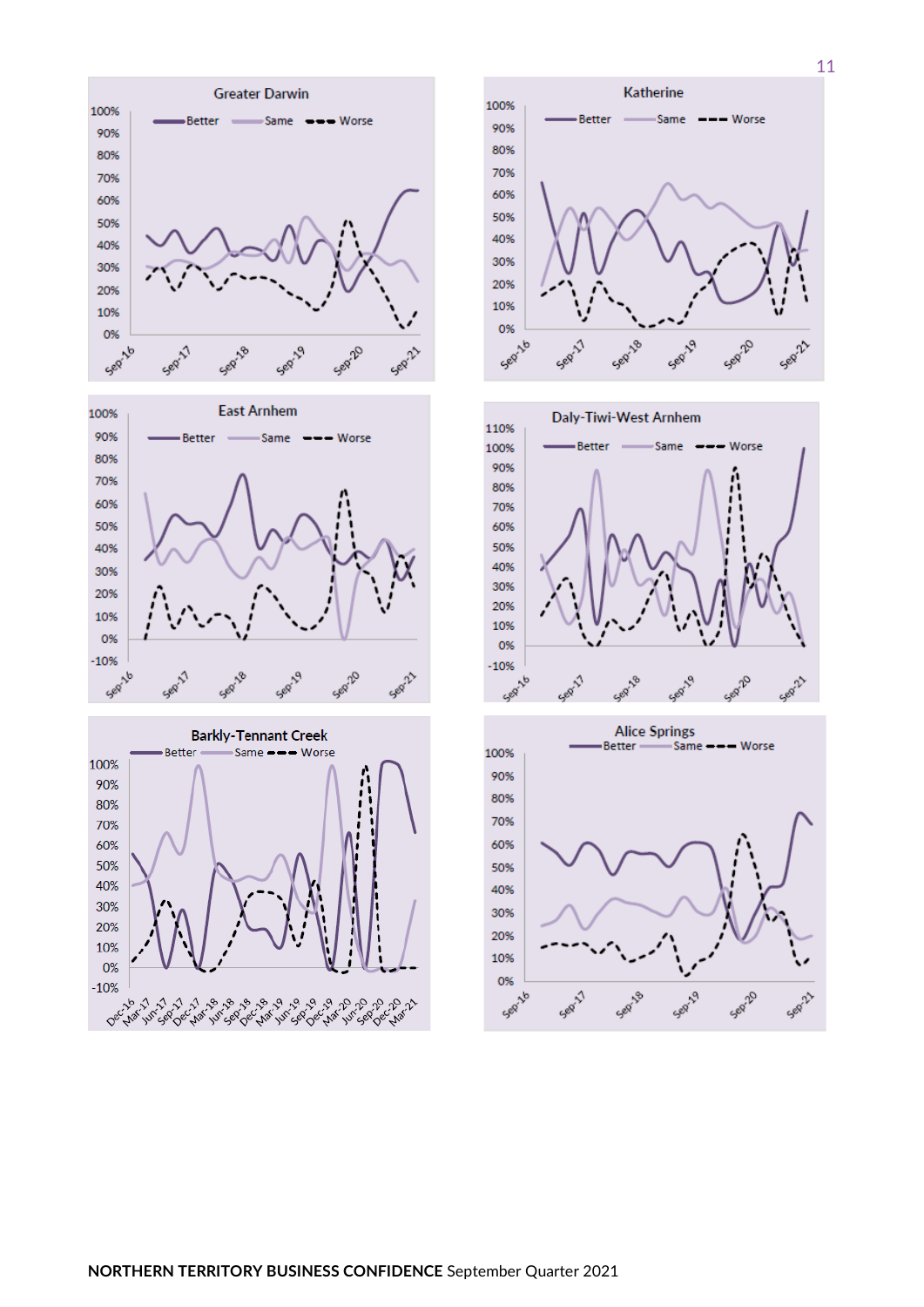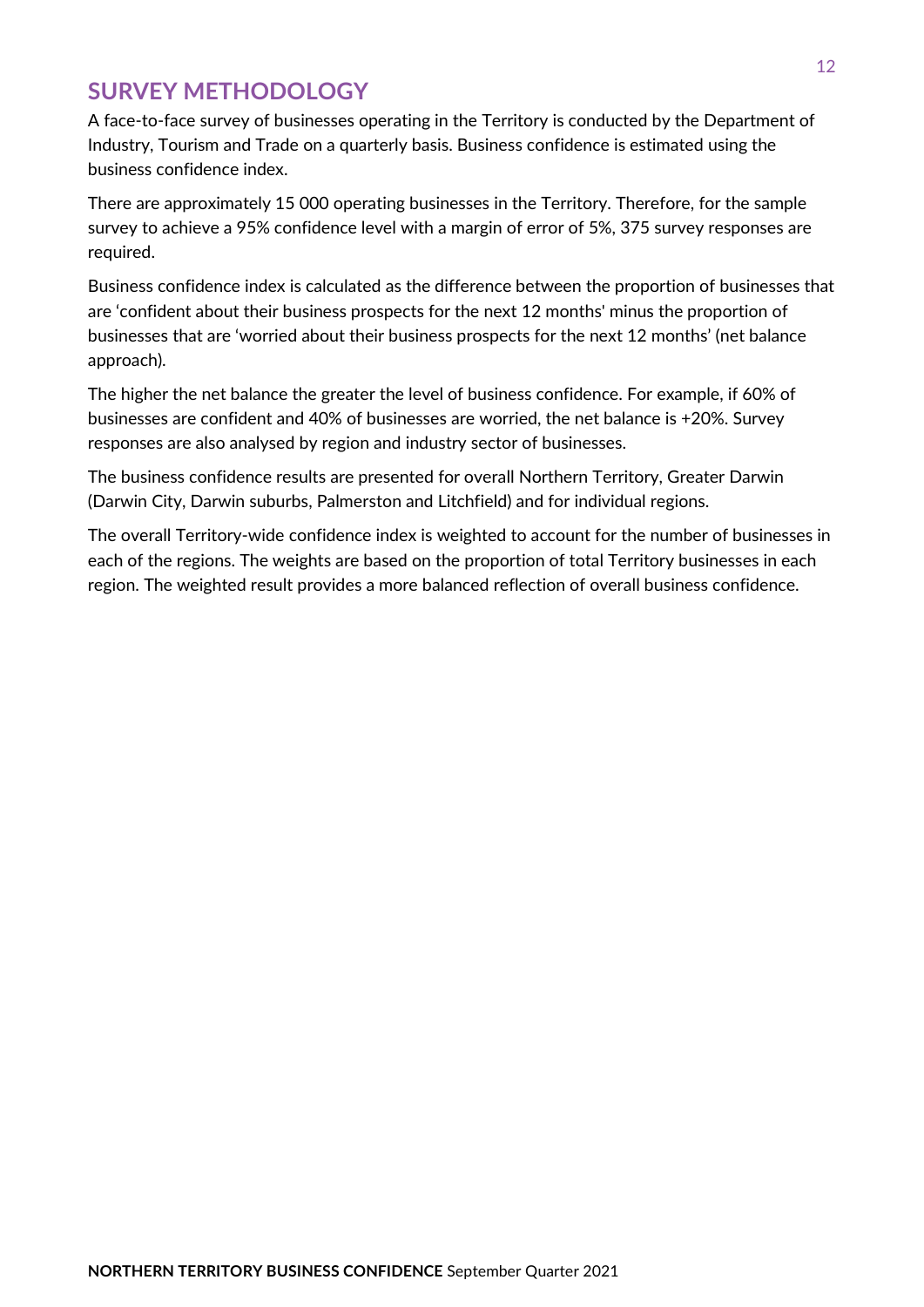# **SURVEY METHODOLOGY**

A face-to-face survey of businesses operating in the Territory is conducted by the Department of Industry, Tourism and Trade on a quarterly basis. Business confidence is estimated using the business confidence index.

There are approximately 15 000 operating businesses in the Territory. Therefore, for the sample survey to achieve a 95% confidence level with a margin of error of 5%, 375 survey responses are required.

Business confidence index is calculated as the difference between the proportion of businesses that are 'confident about their business prospects for the next 12 months' minus the proportion of businesses that are 'worried about their business prospects for the next 12 months' (net balance approach).

The higher the net balance the greater the level of business confidence. For example, if 60% of businesses are confident and 40% of businesses are worried, the net balance is +20%. Survey responses are also analysed by region and industry sector of businesses.

The business confidence results are presented for overall Northern Territory, Greater Darwin (Darwin City, Darwin suburbs, Palmerston and Litchfield) and for individual regions.

The overall Territory-wide confidence index is weighted to account for the number of businesses in each of the regions. The weights are based on the proportion of total Territory businesses in each region. The weighted result provides a more balanced reflection of overall business confidence.